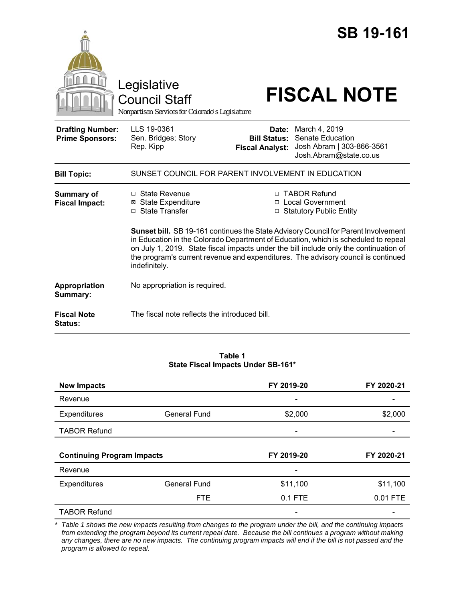|                                                   | Legislative<br><b>Council Staff</b><br>Nonpartisan Services for Colorado's Legislature                                                                                                                                                                                            |                                                        | <b>SB 19-161</b><br><b>FISCAL NOTE</b>                                                                                                                  |
|---------------------------------------------------|-----------------------------------------------------------------------------------------------------------------------------------------------------------------------------------------------------------------------------------------------------------------------------------|--------------------------------------------------------|---------------------------------------------------------------------------------------------------------------------------------------------------------|
| <b>Drafting Number:</b><br><b>Prime Sponsors:</b> | LLS 19-0361<br>Sen. Bridges; Story<br>Rep. Kipp                                                                                                                                                                                                                                   | Date:<br><b>Bill Status:</b><br><b>Fiscal Analyst:</b> | March 4, 2019<br><b>Senate Education</b><br>Josh Abram   303-866-3561<br>Josh.Abram@state.co.us                                                         |
| <b>Bill Topic:</b>                                | SUNSET COUNCIL FOR PARENT INVOLVEMENT IN EDUCATION                                                                                                                                                                                                                                |                                                        |                                                                                                                                                         |
| <b>Summary of</b><br><b>Fiscal Impact:</b>        | $\Box$ State Revenue<br><b>⊠</b> State Expenditure<br>□ State Transfer                                                                                                                                                                                                            |                                                        | □ TABOR Refund<br>□ Local Government<br>□ Statutory Public Entity<br>Sunset bill. SB 19-161 continues the State Advisory Council for Parent Involvement |
|                                                   | in Education in the Colorado Department of Education, which is scheduled to repeal<br>on July 1, 2019. State fiscal impacts under the bill include only the continuation of<br>the program's current revenue and expenditures. The advisory council is continued<br>indefinitely. |                                                        |                                                                                                                                                         |
| Appropriation<br>Summary:                         | No appropriation is required.                                                                                                                                                                                                                                                     |                                                        |                                                                                                                                                         |
| <b>Fiscal Note</b><br>Status:                     | The fiscal note reflects the introduced bill.                                                                                                                                                                                                                                     |                                                        |                                                                                                                                                         |

#### **Table 1 State Fiscal Impacts Under SB-161\***

| <b>New Impacts</b>                |                     | FY 2019-20               | FY 2020-21 |
|-----------------------------------|---------------------|--------------------------|------------|
| Revenue                           |                     | $\overline{\phantom{0}}$ |            |
| Expenditures                      | <b>General Fund</b> | \$2,000                  | \$2,000    |
| <b>TABOR Refund</b>               |                     |                          |            |
|                                   |                     |                          |            |
| <b>Continuing Program Impacts</b> |                     |                          |            |
|                                   |                     | FY 2019-20               | FY 2020-21 |
| Revenue                           |                     |                          |            |
| <b>Expenditures</b>               | <b>General Fund</b> | \$11,100                 | \$11,100   |
|                                   | <b>FTE</b>          | 0.1 FTE                  | 0.01 FTE   |

*\* Table 1 shows the new impacts resulting from changes to the program under the bill, and the continuing impacts from extending the program beyond its current repeal date. Because the bill continues a program without making any changes, there are no new impacts. The continuing program impacts will end if the bill is not passed and the program is allowed to repeal.*